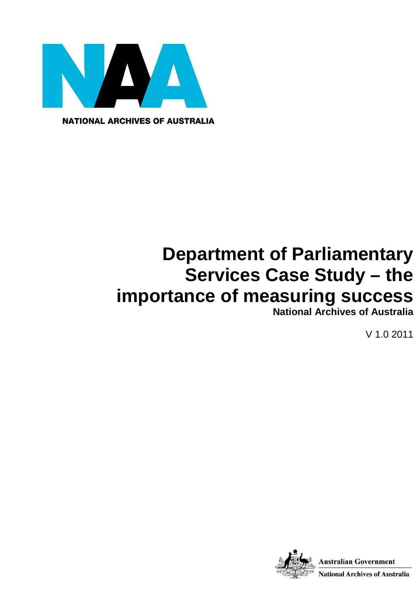

**NATIONAL ARCHIVES OF AUSTRALIA** 

# **Department of Parliamentary Services Case Study – the importance of measuring success**

**National Archives of Australia**

V 1.0 2011

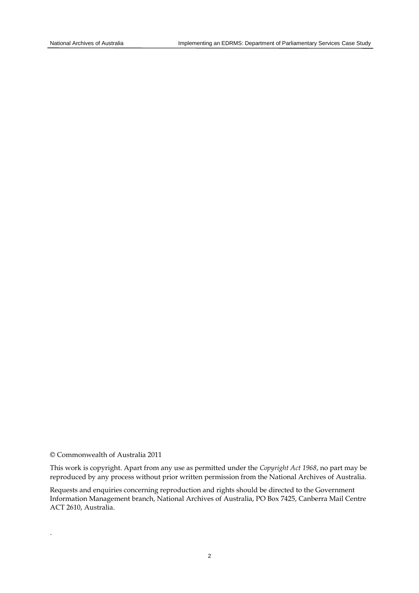© Commonwealth of Australia 2011

.

This work is copyright. Apart from any use as permitted under the *Copyright Act 1968*, no part may be reproduced by any process without prior written permission from the National Archives of Australia.

Requests and enquiries concerning reproduction and rights should be directed to the Government Information Management branch, National Archives of Australia, PO Box 7425, Canberra Mail Centre ACT 2610, Australia.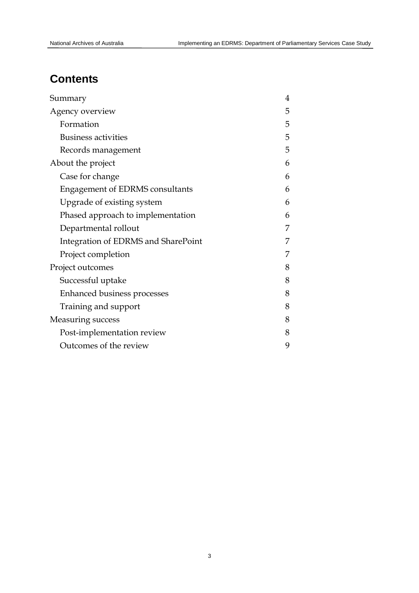# **Contents**

| Summary                                | 4 |
|----------------------------------------|---|
| Agency overview                        | 5 |
| Formation                              | 5 |
| <b>Business activities</b>             | 5 |
| Records management                     | 5 |
| About the project                      | 6 |
| Case for change                        | 6 |
| <b>Engagement of EDRMS consultants</b> | 6 |
| Upgrade of existing system             | 6 |
| Phased approach to implementation      | 6 |
| Departmental rollout                   | 7 |
| Integration of EDRMS and SharePoint    |   |
| Project completion                     | 7 |
| Project outcomes                       | 8 |
| Successful uptake                      | 8 |
| Enhanced business processes            | 8 |
| Training and support                   | 8 |
| <b>Measuring success</b>               | 8 |
| Post-implementation review             | 8 |
| Outcomes of the review                 | 9 |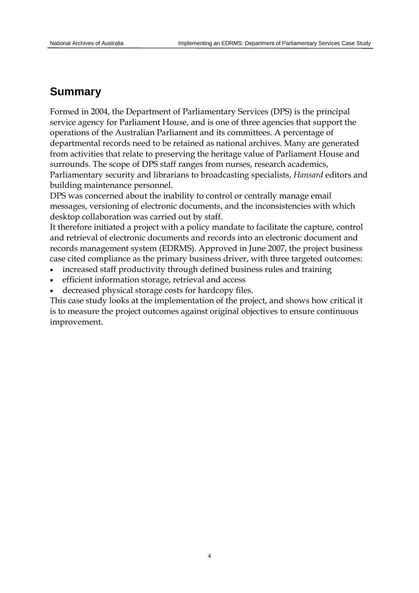# **Summary**

Formed in 2004, the Department of Parliamentary Services (DPS) is the principal service agency for Parliament House, and is one of three agencies that support the operations of the Australian Parliament and its committees. A percentage of departmental records need to be retained as national archives. Many are generated from activities that relate to preserving the heritage value of Parliament House and surrounds. The scope of DPS staff ranges from nurses, research academics, Parliamentary security and librarians to broadcasting specialists, *Hansard* editors and building maintenance personnel.

DPS was concerned about the inability to control or centrally manage email messages, versioning of electronic documents, and the inconsistencies with which desktop collaboration was carried out by staff.

It therefore initiated a project with a policy mandate to facilitate the capture, control and retrieval of electronic documents and records into an electronic document and records management system (EDRMS). Approved in June 2007, the project business case cited compliance as the primary business driver, with three targeted outcomes:

- increased staff productivity through defined business rules and training
- efficient information storage, retrieval and access
- decreased physical storage costs for hardcopy files.

This case study looks at the implementation of the project, and shows how critical it is to measure the project outcomes against original objectives to ensure continuous improvement.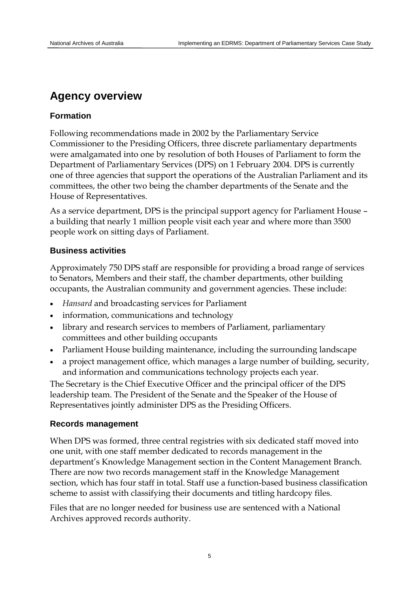# **Agency overview**

# **Formation**

Following recommendations made in 2002 by the Parliamentary Service Commissioner to the Presiding Officers, three discrete parliamentary departments were amalgamated into one by resolution of both Houses of Parliament to form the Department of Parliamentary Services (DPS) on 1 February 2004. DPS is currently one of three agencies that support the operations of the Australian Parliament and its committees, the other two being the chamber departments of the Senate and the House of Representatives.

As a service department, DPS is the principal support agency for Parliament House – a building that nearly 1 million people visit each year and where more than 3500 people work on sitting days of Parliament.

# **Business activities**

Approximately 750 DPS staff are responsible for providing a broad range of services to Senators, Members and their staff, the chamber departments, other building occupants, the Australian community and government agencies. These include:

- *Hansard* and broadcasting services for Parliament
- information, communications and technology
- library and research services to members of Parliament, parliamentary committees and other building occupants
- Parliament House building maintenance, including the surrounding landscape
- a project management office, which manages a large number of building, security, and information and communications technology projects each year.

The Secretary is the Chief Executive Officer and the principal officer of the DPS leadership team. The President of the Senate and the Speaker of the House of Representatives jointly administer DPS as the Presiding Officers.

# **Records management**

When DPS was formed, three central registries with six dedicated staff moved into one unit, with one staff member dedicated to records management in the department's Knowledge Management section in the Content Management Branch. There are now two records management staff in the Knowledge Management section, which has four staff in total. Staff use a function-based business classification scheme to assist with classifying their documents and titling hardcopy files.

Files that are no longer needed for business use are sentenced with a National Archives approved records authority.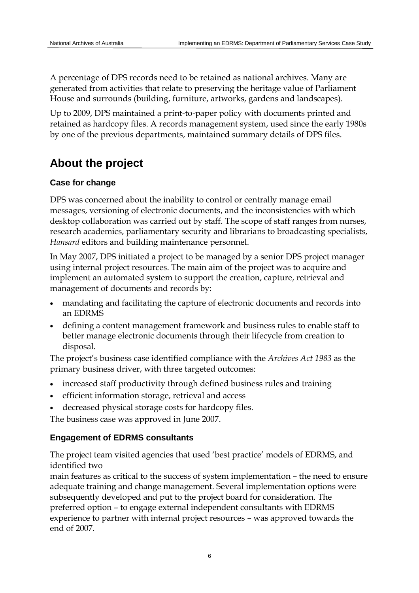A percentage of DPS records need to be retained as national archives. Many are generated from activities that relate to preserving the heritage value of Parliament House and surrounds (building, furniture, artworks, gardens and landscapes).

Up to 2009, DPS maintained a print-to-paper policy with documents printed and retained as hardcopy files. A records management system, used since the early 1980s by one of the previous departments, maintained summary details of DPS files.

# **About the project**

# **Case for change**

DPS was concerned about the inability to control or centrally manage email messages, versioning of electronic documents, and the inconsistencies with which desktop collaboration was carried out by staff. The scope of staff ranges from nurses, research academics, parliamentary security and librarians to broadcasting specialists, *Hansard* editors and building maintenance personnel.

In May 2007, DPS initiated a project to be managed by a senior DPS project manager using internal project resources. The main aim of the project was to acquire and implement an automated system to support the creation, capture, retrieval and management of documents and records by:

- mandating and facilitating the capture of electronic documents and records into an EDRMS
- defining a content management framework and business rules to enable staff to better manage electronic documents through their lifecycle from creation to disposal.

The project's business case identified compliance with the *Archives Act 1983* as the primary business driver, with three targeted outcomes:

- increased staff productivity through defined business rules and training
- efficient information storage, retrieval and access
- decreased physical storage costs for hardcopy files.

The business case was approved in June 2007.

# **Engagement of EDRMS consultants**

The project team visited agencies that used 'best practice' models of EDRMS, and identified two

main features as critical to the success of system implementation – the need to ensure adequate training and change management. Several implementation options were subsequently developed and put to the project board for consideration. The preferred option – to engage external independent consultants with EDRMS experience to partner with internal project resources – was approved towards the end of 2007.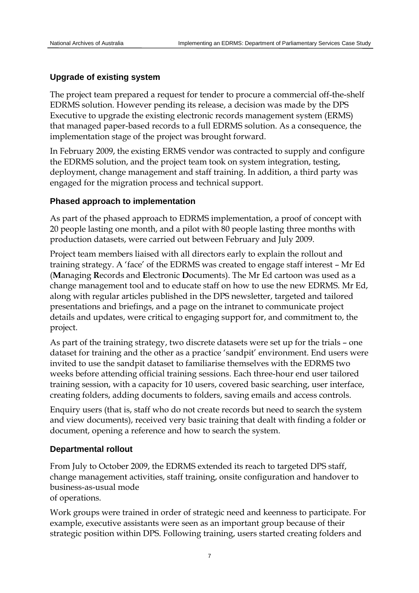# **Upgrade of existing system**

The project team prepared a request for tender to procure a commercial off-the-shelf EDRMS solution. However pending its release, a decision was made by the DPS Executive to upgrade the existing electronic records management system (ERMS) that managed paper-based records to a full EDRMS solution. As a consequence, the implementation stage of the project was brought forward.

In February 2009, the existing ERMS vendor was contracted to supply and configure the EDRMS solution, and the project team took on system integration, testing, deployment, change management and staff training. In addition, a third party was engaged for the migration process and technical support.

#### **Phased approach to implementation**

As part of the phased approach to EDRMS implementation, a proof of concept with 20 people lasting one month, and a pilot with 80 people lasting three months with production datasets, were carried out between February and July 2009.

Project team members liaised with all directors early to explain the rollout and training strategy. A 'face' of the EDRMS was created to engage staff interest – Mr Ed (**M**anaging **R**ecords and **E**lectronic **D**ocuments). The Mr Ed cartoon was used as a change management tool and to educate staff on how to use the new EDRMS. Mr Ed, along with regular articles published in the DPS newsletter, targeted and tailored presentations and briefings, and a page on the intranet to communicate project details and updates, were critical to engaging support for, and commitment to, the project.

As part of the training strategy, two discrete datasets were set up for the trials – one dataset for training and the other as a practice 'sandpit' environment. End users were invited to use the sandpit dataset to familiarise themselves with the EDRMS two weeks before attending official training sessions. Each three-hour end user tailored training session, with a capacity for 10 users, covered basic searching, user interface, creating folders, adding documents to folders, saving emails and access controls.

Enquiry users (that is, staff who do not create records but need to search the system and view documents), received very basic training that dealt with finding a folder or document, opening a reference and how to search the system.

#### **Departmental rollout**

From July to October 2009, the EDRMS extended its reach to targeted DPS staff, change management activities, staff training, onsite configuration and handover to business-as-usual mode

of operations.

Work groups were trained in order of strategic need and keenness to participate. For example, executive assistants were seen as an important group because of their strategic position within DPS. Following training, users started creating folders and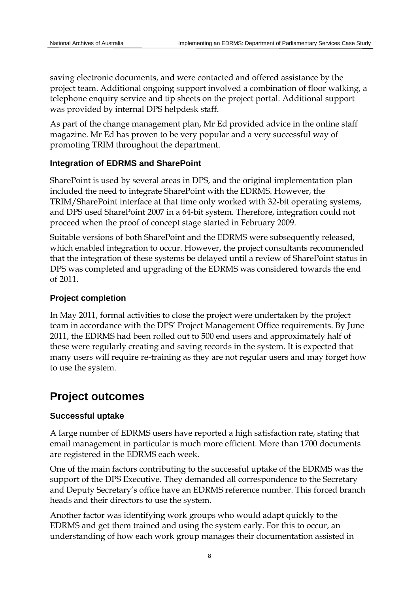saving electronic documents, and were contacted and offered assistance by the project team. Additional ongoing support involved a combination of floor walking, a telephone enquiry service and tip sheets on the project portal. Additional support was provided by internal DPS helpdesk staff.

As part of the change management plan, Mr Ed provided advice in the online staff magazine. Mr Ed has proven to be very popular and a very successful way of promoting TRIM throughout the department.

### **Integration of EDRMS and SharePoint**

SharePoint is used by several areas in DPS, and the original implementation plan included the need to integrate SharePoint with the EDRMS. However, the TRIM/SharePoint interface at that time only worked with 32-bit operating systems, and DPS used SharePoint 2007 in a 64-bit system. Therefore, integration could not proceed when the proof of concept stage started in February 2009.

Suitable versions of both SharePoint and the EDRMS were subsequently released, which enabled integration to occur. However, the project consultants recommended that the integration of these systems be delayed until a review of SharePoint status in DPS was completed and upgrading of the EDRMS was considered towards the end of 2011.

### **Project completion**

In May 2011, formal activities to close the project were undertaken by the project team in accordance with the DPS' Project Management Office requirements. By June 2011, the EDRMS had been rolled out to 500 end users and approximately half of these were regularly creating and saving records in the system. It is expected that many users will require re-training as they are not regular users and may forget how to use the system.

# **Project outcomes**

# **Successful uptake**

A large number of EDRMS users have reported a high satisfaction rate, stating that email management in particular is much more efficient. More than 1700 documents are registered in the EDRMS each week.

One of the main factors contributing to the successful uptake of the EDRMS was the support of the DPS Executive. They demanded all correspondence to the Secretary and Deputy Secretary's office have an EDRMS reference number. This forced branch heads and their directors to use the system.

Another factor was identifying work groups who would adapt quickly to the EDRMS and get them trained and using the system early. For this to occur, an understanding of how each work group manages their documentation assisted in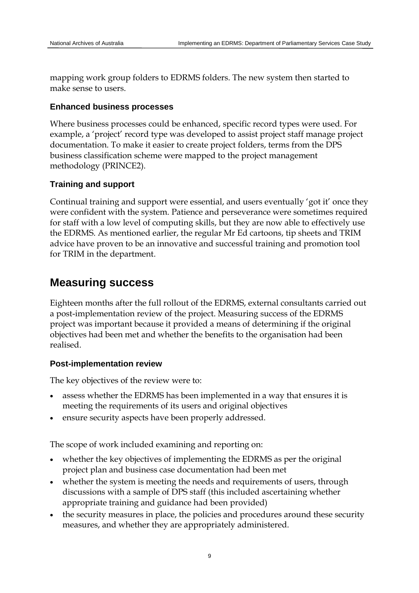mapping work group folders to EDRMS folders. The new system then started to make sense to users.

### **Enhanced business processes**

Where business processes could be enhanced, specific record types were used. For example, a 'project' record type was developed to assist project staff manage project documentation. To make it easier to create project folders, terms from the DPS business classification scheme were mapped to the project management methodology (PRINCE2).

# **Training and support**

Continual training and support were essential, and users eventually 'got it' once they were confident with the system. Patience and perseverance were sometimes required for staff with a low level of computing skills, but they are now able to effectively use the EDRMS. As mentioned earlier, the regular Mr Ed cartoons, tip sheets and TRIM advice have proven to be an innovative and successful training and promotion tool for TRIM in the department.

# **Measuring success**

Eighteen months after the full rollout of the EDRMS, external consultants carried out a post-implementation review of the project. Measuring success of the EDRMS project was important because it provided a means of determining if the original objectives had been met and whether the benefits to the organisation had been realised.

# **Post-implementation review**

The key objectives of the review were to:

- assess whether the EDRMS has been implemented in a way that ensures it is meeting the requirements of its users and original objectives
- ensure security aspects have been properly addressed.

The scope of work included examining and reporting on:

- whether the key objectives of implementing the EDRMS as per the original project plan and business case documentation had been met
- whether the system is meeting the needs and requirements of users, through discussions with a sample of DPS staff (this included ascertaining whether appropriate training and guidance had been provided)
- the security measures in place, the policies and procedures around these security measures, and whether they are appropriately administered.